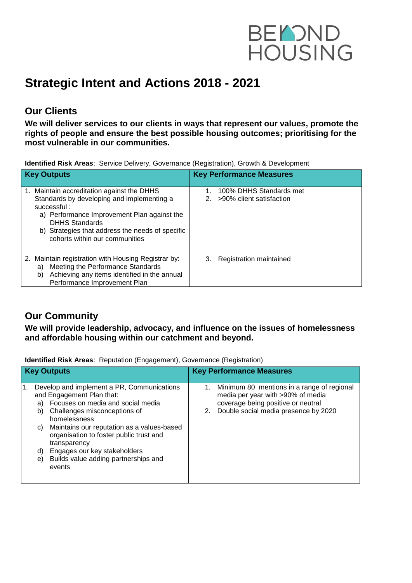

# **Strategic Intent and Actions 2018 - 2021**

### **Our Clients**

**We will deliver services to our clients in ways that represent our values, promote the rights of people and ensure the best possible housing outcomes; prioritising for the most vulnerable in our communities.**

**Identified Risk Areas**: Service Delivery, Governance (Registration), Growth & Development

| <b>Key Outputs</b>                                                                                                                                                                                                                                                    | <b>Key Performance Measures</b>                     |
|-----------------------------------------------------------------------------------------------------------------------------------------------------------------------------------------------------------------------------------------------------------------------|-----------------------------------------------------|
| 1. Maintain accreditation against the DHHS<br>Standards by developing and implementing a<br>successful:<br>a) Performance Improvement Plan against the<br><b>DHHS Standards</b><br>b) Strategies that address the needs of specific<br>cohorts within our communities | 100% DHHS Standards met<br>>90% client satisfaction |
| 2. Maintain registration with Housing Registrar by:<br>Meeting the Performance Standards<br>a)<br>Achieving any items identified in the annual<br>b)<br>Performance Improvement Plan                                                                                  | Registration maintained                             |

#### **Our Community**

**We will provide leadership, advocacy, and influence on the issues of homelessness and affordable housing within our catchment and beyond.**

**Identified Risk Areas**: Reputation (Engagement), Governance (Registration)

|    | <b>Key Outputs</b>                                                                                                                                                                                                                                                                                                                                                                    | <b>Key Performance Measures</b>                                                                                                                                        |
|----|---------------------------------------------------------------------------------------------------------------------------------------------------------------------------------------------------------------------------------------------------------------------------------------------------------------------------------------------------------------------------------------|------------------------------------------------------------------------------------------------------------------------------------------------------------------------|
| 1. | Develop and implement a PR, Communications<br>and Engagement Plan that:<br>Focuses on media and social media<br>a)<br>Challenges misconceptions of<br>b)<br>homelessness<br>Maintains our reputation as a values-based<br>C)<br>organisation to foster public trust and<br>transparency<br>Engages our key stakeholders<br>d)<br>Builds value adding partnerships and<br>e)<br>events | 1. Minimum 80 mentions in a range of regional<br>media per year with >90% of media<br>coverage being positive or neutral<br>Double social media presence by 2020<br>2. |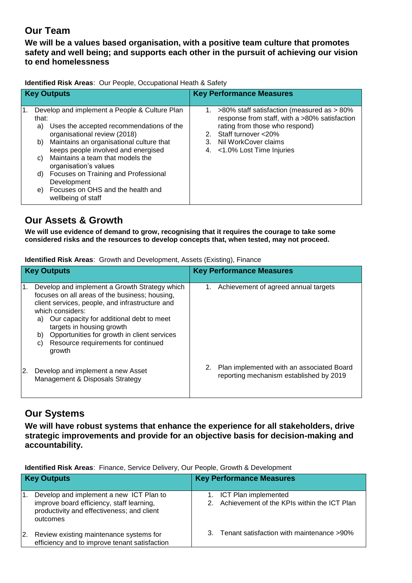## **Our Team**

**We will be a values based organisation, with a positive team culture that promotes safety and well being; and supports each other in the pursuit of achieving our vision to end homelessness**

**Identified Risk Areas**: Our People, Occupational Heath & Safety

| <b>Key Outputs</b>                  |                                                                                                                                                                                                                                                                                                                                                                                                | <b>Key Performance Measures</b> |                                                                                                                                                                                                                        |
|-------------------------------------|------------------------------------------------------------------------------------------------------------------------------------------------------------------------------------------------------------------------------------------------------------------------------------------------------------------------------------------------------------------------------------------------|---------------------------------|------------------------------------------------------------------------------------------------------------------------------------------------------------------------------------------------------------------------|
| 1.<br>that:<br>a)<br>C)<br>d)<br>e) | Develop and implement a People & Culture Plan<br>Uses the accepted recommendations of the<br>organisational review (2018)<br>b) Maintains an organisational culture that<br>keeps people involved and energised<br>Maintains a team that models the<br>organisation's values<br>Focuses on Training and Professional<br>Development<br>Focuses on OHS and the health and<br>wellbeing of staff | 3.                              | 1. $>80\%$ staff satisfaction (measured as $>80\%$<br>response from staff, with a >80% satisfaction<br>rating from those who respond)<br>2. Staff turnover <20%<br>Nil WorkCover claims<br>4. <1.0% Lost Time Injuries |

#### **Our Assets & Growth**

**We will use evidence of demand to grow, recognising that it requires the courage to take some considered risks and the resources to develop concepts that, when tested, may not proceed.**

**Identified Risk Areas**: Growth and Development, Assets (Existing), Finance

|    | <b>Key Outputs</b>                                                                                                                                                                                                                                                                                                                                                | <b>Key Performance Measures</b>                                                            |
|----|-------------------------------------------------------------------------------------------------------------------------------------------------------------------------------------------------------------------------------------------------------------------------------------------------------------------------------------------------------------------|--------------------------------------------------------------------------------------------|
| 1. | Develop and implement a Growth Strategy which<br>focuses on all areas of the business; housing,<br>client services, people, and infrastructure and<br>which considers:<br>Our capacity for additional debt to meet<br>a)<br>targets in housing growth<br>Opportunities for growth in client services<br>b)<br>Resource requirements for continued<br>C)<br>growth | Achievement of agreed annual targets                                                       |
| 2. | Develop and implement a new Asset<br>Management & Disposals Strategy                                                                                                                                                                                                                                                                                              | Plan implemented with an associated Board<br>2.<br>reporting mechanism established by 2019 |

## **Our Systems**

**We will have robust systems that enhance the experience for all stakeholders, drive strategic improvements and provide for an objective basis for decision-making and accountability.**

**Identified Risk Areas**: Finance, Service Delivery, Our People, Growth & Development

| <b>Key Outputs</b> |                                                                                                                                                | <b>Key Performance Measures</b> |                                                                           |
|--------------------|------------------------------------------------------------------------------------------------------------------------------------------------|---------------------------------|---------------------------------------------------------------------------|
|                    | Develop and implement a new ICT Plan to<br>improve board efficiency, staff learning,<br>productivity and effectiveness; and client<br>outcomes |                                 | 1. ICT Plan implemented<br>2. Achievement of the KPIs within the ICT Plan |
| <sup>2.</sup>      | Review existing maintenance systems for<br>efficiency and to improve tenant satisfaction                                                       |                                 | 3. Tenant satisfaction with maintenance >90%                              |